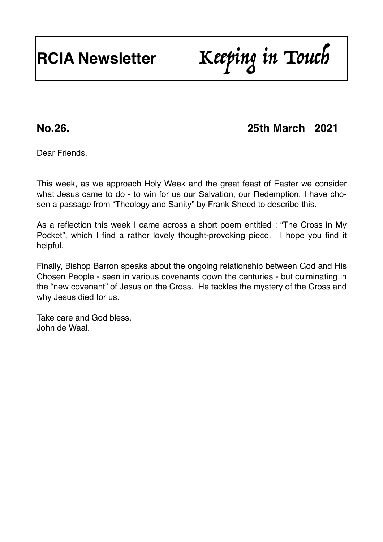# **RCIA Newsletter** Keeping in Touch

# **No.26. 25th March 2021**

Dear Friends,

This week, as we approach Holy Week and the great feast of Easter we consider what Jesus came to do - to win for us our Salvation, our Redemption. I have chosen a passage from "Theology and Sanity" by Frank Sheed to describe this.

As a reflection this week I came across a short poem entitled : "The Cross in My Pocket", which I find a rather lovely thought-provoking piece. I hope you find it helpful.

Finally, Bishop Barron speaks about the ongoing relationship between God and His Chosen People - seen in various covenants down the centuries - but culminating in the "new covenant" of Jesus on the Cross. He tackles the mystery of the Cross and why Jesus died for us.

Take care and God bless, John de Waal.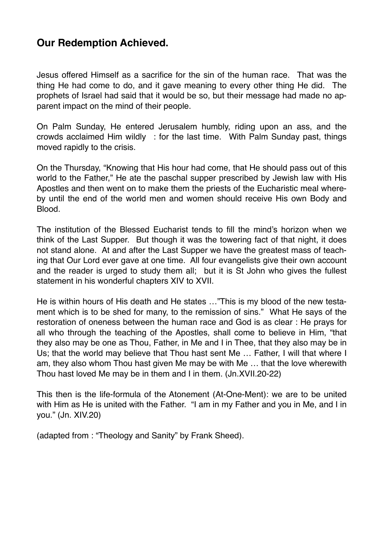# **Our Redemption Achieved.**

Jesus offered Himself as a sacrifice for the sin of the human race. That was the thing He had come to do, and it gave meaning to every other thing He did. The prophets of Israel had said that it would be so, but their message had made no apparent impact on the mind of their people.

On Palm Sunday, He entered Jerusalem humbly, riding upon an ass, and the crowds acclaimed Him wildly : for the last time. With Palm Sunday past, things moved rapidly to the crisis.

On the Thursday, "Knowing that His hour had come, that He should pass out of this world to the Father," He ate the paschal supper prescribed by Jewish law with His Apostles and then went on to make them the priests of the Eucharistic meal whereby until the end of the world men and women should receive His own Body and Blood.

The institution of the Blessed Eucharist tends to fill the mind's horizon when we think of the Last Supper. But though it was the towering fact of that night, it does not stand alone. At and after the Last Supper we have the greatest mass of teaching that Our Lord ever gave at one time. All four evangelists give their own account and the reader is urged to study them all; but it is St John who gives the fullest statement in his wonderful chapters XIV to XVII.

He is within hours of His death and He states …"This is my blood of the new testament which is to be shed for many, to the remission of sins." What He says of the restoration of oneness between the human race and God is as clear : He prays for all who through the teaching of the Apostles, shall come to believe in Him, "that they also may be one as Thou, Father, in Me and I in Thee, that they also may be in Us; that the world may believe that Thou hast sent Me … Father, I will that where I am, they also whom Thou hast given Me may be with Me … that the love wherewith Thou hast loved Me may be in them and I in them. (Jn.XVII.20-22)

This then is the life-formula of the Atonement (At-One-Ment): we are to be united with Him as He is united with the Father. "I am in my Father and you in Me, and I in you." (Jn. XIV.20)

(adapted from : "Theology and Sanity" by Frank Sheed).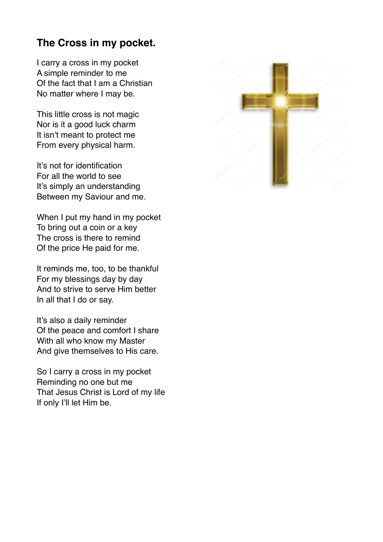# **The Cross in my pocket.**

I carry a cross in my pocket A simple reminder to me Of the fact that I am a Christian No matter where I may be.

This little cross is not magic Nor is it a good luck charm It isn't meant to protect me From every physical harm.

It's not for identification For all the world to see It's simply an understanding Between my Saviour and me.

When I put my hand in my pocket To bring out a coin or a key The cross is there to remind Of the price He paid for me.

It reminds me, too, to be thankful For my blessings day by day And to strive to serve Him better In all that I do or say.

It's also a daily reminder Of the peace and comfort I share With all who know my Master And give themselves to His care.

So I carry a cross in my pocket Reminding no one but me That Jesus Christ is Lord of my life If only I'll let Him be.